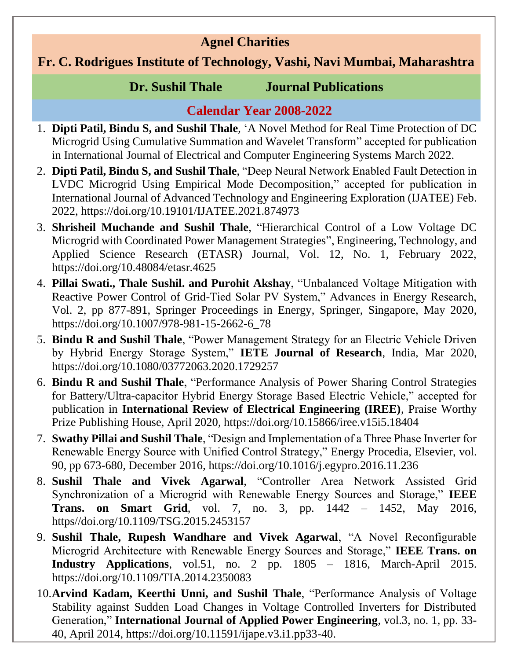# **Agnel Charities**

### **Fr. C. Rodrigues Institute of Technology, Vashi, Navi Mumbai, Maharashtra**

### **Dr. Sushil Thale Journal Publications**

# **Calendar Year 2008-2022**

- 1. **Dipti Patil, Bindu S, and Sushil Thale**, 'A Novel Method for Real Time Protection of DC Microgrid Using Cumulative Summation and Wavelet Transform" accepted for publication in International Journal of Electrical and Computer Engineering Systems March 2022.
- 2. **Dipti Patil, Bindu S, and Sushil Thale**, "Deep Neural Network Enabled Fault Detection in LVDC Microgrid Using Empirical Mode Decomposition," accepted for publication in International Journal of Advanced Technology and Engineering Exploration (IJATEE) Feb. 2022, https://doi.org/10.19101/IJATEE.2021.874973
- 3. **Shrisheil Muchande and Sushil Thale**, "Hierarchical Control of a Low Voltage DC Microgrid with Coordinated Power Management Strategies", Engineering, Technology, and Applied Science Research (ETASR) Journal, Vol. 12, No. 1, February 2022, https://doi.org/10.48084/etasr.4625
- 4. **Pillai Swati., Thale Sushil. and Purohit Akshay**, "Unbalanced Voltage Mitigation with Reactive Power Control of Grid-Tied Solar PV System," Advances in Energy Research, Vol. 2, pp 877-891, Springer Proceedings in Energy, Springer, Singapore, May 2020, https://doi.org/10.1007/978-981-15-2662-6\_78
- 5. **Bindu R and Sushil Thale**, "Power Management Strategy for an Electric Vehicle Driven by Hybrid Energy Storage System," **IETE Journal of Research**, India, Mar 2020, https://doi.org/10.1080/03772063.2020.1729257
- 6. **Bindu R and Sushil Thale**, "Performance Analysis of Power Sharing Control Strategies for Battery/Ultra-capacitor Hybrid Energy Storage Based Electric Vehicle," accepted for publication in **International Review of Electrical Engineering (IREE)**, Praise Worthy Prize Publishing House, April 2020, https://doi.org/10.15866/iree.v15i5.18404
- 7. **Swathy Pillai and Sushil Thale**, "Design and Implementation of a Three Phase Inverter for Renewable Energy Source with Unified Control Strategy," Energy Procedia, Elsevier, [vol.](http://www.sciencedirect.com/science/journal/18766102/90/supp/C)  [90,](http://www.sciencedirect.com/science/journal/18766102/90/supp/C) pp 673-680, December 2016, https://doi.org/10.1016/j.egypro.2016.11.236
- 8. **Sushil Thale and Vivek Agarwal**, "Controller Area Network Assisted Grid Synchronization of a Microgrid with Renewable Energy Sources and Storage," **IEEE Trans. on Smart Grid**, vol. 7, no. 3, pp. 1442 – 1452, May 2016, https//doi.org/10.1109/TSG.2015.2453157
- 9. **Sushil Thale, Rupesh Wandhare and Vivek Agarwal**, "A Novel Reconfigurable Microgrid Architecture with Renewable Energy Sources and Storage," **IEEE Trans. on Industry Applications**, vol.51, no. 2 pp. 1805 – 1816, March-April 2015. https://doi.org/10.1109/TIA.2014.2350083
- 10.**Arvind Kadam, Keerthi Unni, and Sushil Thale**, "Performance Analysis of Voltage Stability against Sudden Load Changes in Voltage Controlled Inverters for Distributed Generation," **International Journal of Applied Power Engineering**, vol.3, no. 1, pp. 33- 40, April 2014, https://doi.org/10.11591/ijape.v3.i1.pp33-40.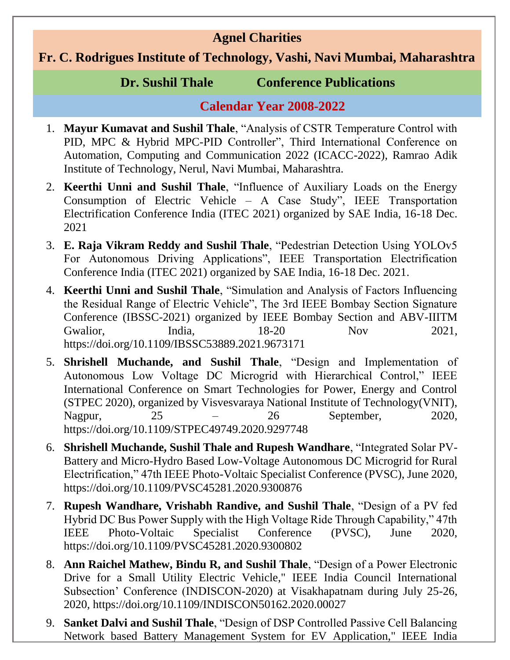### **Agnel Charities**

# **Fr. C. Rodrigues Institute of Technology, Vashi, Navi Mumbai, Maharashtra**

#### **Dr. Sushil Thale Conference Publications**

# **Calendar Year 2008-2022**

- 1. **Mayur Kumavat and Sushil Thale**, "Analysis of CSTR Temperature Control with PID, MPC & Hybrid MPC-PID Controller", Third International Conference on Automation, Computing and Communication 2022 (ICACC-2022), Ramrao Adik Institute of Technology, Nerul, Navi Mumbai, Maharashtra.
- 2. **Keerthi Unni and Sushil Thale**, "Influence of Auxiliary Loads on the Energy Consumption of Electric Vehicle – A Case Study", IEEE Transportation Electrification Conference India (ITEC 2021) organized by SAE India, 16-18 Dec. 2021
- 3. **E. Raja Vikram Reddy and Sushil Thale**, "Pedestrian Detection Using YOLOv5 For Autonomous Driving Applications", IEEE Transportation Electrification Conference India (ITEC 2021) organized by SAE India, 16-18 Dec. 2021.
- 4. **Keerthi Unni and Sushil Thale**, "Simulation and Analysis of Factors Influencing the Residual Range of Electric Vehicle", The 3rd IEEE Bombay Section Signature Conference (IBSSC-2021) organized by IEEE Bombay Section and ABV-IIITM Gwalior, India, 18-20 Nov 2021, https://doi.org/10.1109/IBSSC53889.2021.9673171
- 5. **Shrishell Muchande, and Sushil Thale**, "Design and Implementation of Autonomous Low Voltage DC Microgrid with Hierarchical Control," IEEE International Conference on Smart Technologies for Power, Energy and Control (STPEC 2020), organized by Visvesvaraya National Institute of Technology(VNIT), Nagpur, 25 – 26 September, 2020, https://doi.org/10.1109/STPEC49749.2020.9297748
- 6. **Shrishell Muchande, Sushil Thale and Rupesh Wandhare**, "Integrated Solar PV-Battery and Micro-Hydro Based Low-Voltage Autonomous DC Microgrid for Rural Electrification," 47th IEEE Photo-Voltaic Specialist Conference (PVSC), June 2020, https://doi.org/10.1109/PVSC45281.2020.9300876
- 7. **Rupesh Wandhare, Vrishabh Randive, and Sushil Thale**, "Design of a PV fed Hybrid DC Bus Power Supply with the High Voltage Ride Through Capability," 47th IEEE Photo-Voltaic Specialist Conference (PVSC), June 2020, https://doi.org/10.1109/PVSC45281.2020.9300802
- 8. **Ann Raichel Mathew, Bindu R, and Sushil Thale**, "Design of a Power Electronic Drive for a Small Utility Electric Vehicle," IEEE India Council International Subsection' Conference (INDISCON-2020) at Visakhapatnam during July 25-26, 2020, https://doi.org/10.1109/INDISCON50162.2020.00027
- 9. **Sanket Dalvi and Sushil Thale**, "Design of DSP Controlled Passive Cell Balancing Network based Battery Management System for EV Application," IEEE India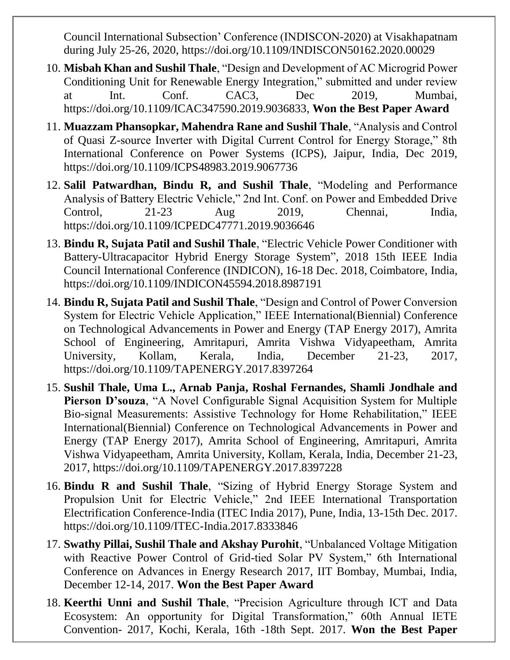Council International Subsection' Conference (INDISCON-2020) at Visakhapatnam during July 25-26, 2020, https://doi.org/10.1109/INDISCON50162.2020.00029

- 10. **Misbah Khan and Sushil Thale**, "Design and Development of AC Microgrid Power Conditioning Unit for Renewable Energy Integration," submitted and under review at Int. Conf. CAC3, Dec 2019, Mumbai, https://doi.org/10.1109/ICAC347590.2019.9036833, **Won the Best Paper Award**
- 11. **Muazzam Phansopkar, Mahendra Rane and Sushil Thale**, "Analysis and Control of Quasi Z-source Inverter with Digital Current Control for Energy Storage," 8th International Conference on Power Systems (ICPS), Jaipur, India, Dec 2019, https://doi.org/10.1109/ICPS48983.2019.9067736
- 12. **Salil Patwardhan, Bindu R, and Sushil Thale**, "Modeling and Performance Analysis of Battery Electric Vehicle," 2nd Int. Conf. on Power and Embedded Drive Control, 21-23 Aug 2019, Chennai, India, https://doi.org/10.1109/ICPEDC47771.2019.9036646
- 13. **Bindu R, Sujata Patil and Sushil Thale**, "Electric Vehicle Power Conditioner with Battery-Ultracapacitor Hybrid Energy Storage System", 2018 15th IEEE India Council International Conference (INDICON), 16-18 Dec. 2018, Coimbatore, India, https://doi.org/10.1109/INDICON45594.2018.8987191
- 14. **Bindu R, Sujata Patil and Sushil Thale**, "Design and Control of Power Conversion System for Electric Vehicle Application," IEEE International(Biennial) Conference on Technological Advancements in Power and Energy (TAP Energy 2017), Amrita School of Engineering, Amritapuri, Amrita Vishwa Vidyapeetham, Amrita University, Kollam, Kerala, India, December 21-23, 2017, https://doi.org/10.1109/TAPENERGY.2017.8397264
- 15. **Sushil Thale, Uma L., Arnab Panja, Roshal Fernandes, Shamli Jondhale and Pierson D'souza**, "A Novel Configurable Signal Acquisition System for Multiple Bio-signal Measurements: Assistive Technology for Home Rehabilitation," IEEE International(Biennial) Conference on Technological Advancements in Power and Energy (TAP Energy 2017), Amrita School of Engineering, Amritapuri, Amrita Vishwa Vidyapeetham, Amrita University, Kollam, Kerala, India, December 21-23, 2017, https://doi.org/10.1109/TAPENERGY.2017.8397228
- 16. **Bindu R and Sushil Thale**, "Sizing of Hybrid Energy Storage System and Propulsion Unit for Electric Vehicle," 2nd IEEE International Transportation Electrification Conference-India (ITEC India 2017), Pune, India, 13-15th Dec. 2017. https://doi.org/10.1109/ITEC-India.2017.8333846
- 17. **Swathy Pillai, Sushil Thale and Akshay Purohit**, "Unbalanced Voltage Mitigation with Reactive Power Control of Grid-tied Solar PV System," 6th International Conference on Advances in Energy Research 2017, IIT Bombay, Mumbai, India, December 12-14, 2017. **Won the Best Paper Award**
- 18. **Keerthi Unni and Sushil Thale**, "Precision Agriculture through ICT and Data Ecosystem: An opportunity for Digital Transformation," 60th Annual IETE Convention- 2017, Kochi, Kerala, 16th -18th Sept. 2017. **Won the Best Paper**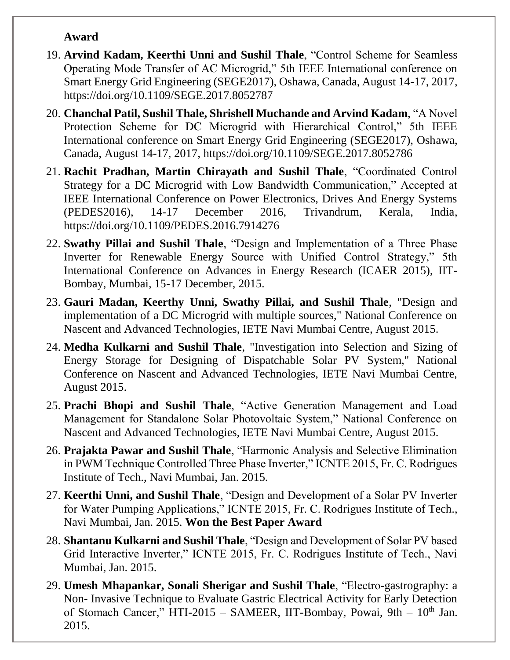#### **Award**

- 19. **Arvind Kadam, Keerthi Unni and Sushil Thale**, "Control Scheme for Seamless Operating Mode Transfer of AC Microgrid," 5th IEEE International conference on Smart Energy Grid Engineering (SEGE2017), Oshawa, Canada, August 14-17, 2017, https://doi.org/10.1109/SEGE.2017.8052787
- 20. **Chanchal Patil, Sushil Thale, Shrishell Muchande and Arvind Kadam**, "A Novel Protection Scheme for DC Microgrid with Hierarchical Control," 5th IEEE International conference on Smart Energy Grid Engineering (SEGE2017), Oshawa, Canada, August 14-17, 2017, https://doi.org/10.1109/SEGE.2017.8052786
- 21. **Rachit Pradhan, Martin Chirayath and Sushil Thale**, "Coordinated Control Strategy for a DC Microgrid with Low Bandwidth Communication," Accepted at IEEE International Conference on Power Electronics, Drives And Energy Systems (PEDES2016), 14-17 December 2016, Trivandrum, Kerala, India, https://doi.org/10.1109/PEDES.2016.7914276
- 22. **Swathy Pillai and Sushil Thale**, "Design and Implementation of a Three Phase Inverter for Renewable Energy Source with Unified Control Strategy," 5th International Conference on Advances in Energy Research (ICAER 2015), IIT-Bombay, Mumbai, 15-17 December, 2015.
- 23. **Gauri Madan, Keerthy Unni, Swathy Pillai, and Sushil Thale**, "Design and implementation of a DC Microgrid with multiple sources," National Conference on Nascent and Advanced Technologies, IETE Navi Mumbai Centre, August 2015.
- 24. **Medha Kulkarni and Sushil Thale**, "Investigation into Selection and Sizing of Energy Storage for Designing of Dispatchable Solar PV System," National Conference on Nascent and Advanced Technologies, IETE Navi Mumbai Centre, August 2015.
- 25. **Prachi Bhopi and Sushil Thale**, "Active Generation Management and Load Management for Standalone Solar Photovoltaic System," National Conference on Nascent and Advanced Technologies, IETE Navi Mumbai Centre, August 2015.
- 26. **Prajakta Pawar and Sushil Thale**, "Harmonic Analysis and Selective Elimination in PWM Technique Controlled Three Phase Inverter," ICNTE 2015, Fr. C. Rodrigues Institute of Tech., Navi Mumbai, Jan. 2015.
- 27. **Keerthi Unni, and Sushil Thale**, "Design and Development of a Solar PV Inverter for Water Pumping Applications," ICNTE 2015, Fr. C. Rodrigues Institute of Tech., Navi Mumbai, Jan. 2015. **Won the Best Paper Award**
- 28. **Shantanu Kulkarni and Sushil Thale**, "Design and Development of Solar PV based Grid Interactive Inverter," ICNTE 2015, Fr. C. Rodrigues Institute of Tech., Navi Mumbai, Jan. 2015.
- 29. **Umesh Mhapankar, Sonali Sherigar and Sushil Thale**, "Electro-gastrography: a Non- Invasive Technique to Evaluate Gastric Electrical Activity for Early Detection of Stomach Cancer," HTI-2015 - SAMEER, IIT-Bombay, Powai, 9th - 10<sup>th</sup> Jan. 2015.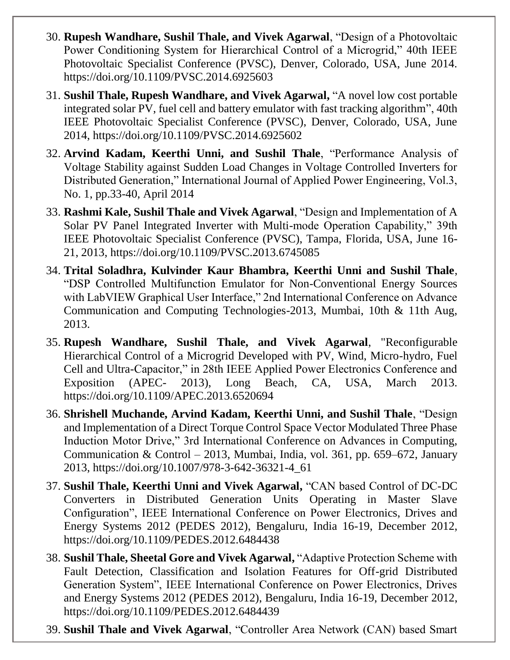- 30. **Rupesh Wandhare, Sushil Thale, and Vivek Agarwal**, "Design of a Photovoltaic Power Conditioning System for Hierarchical Control of a Microgrid," 40th IEEE Photovoltaic Specialist Conference (PVSC), Denver, Colorado, USA, June 2014. https://doi.org/10.1109/PVSC.2014.6925603
- 31. **Sushil Thale, Rupesh Wandhare, and Vivek Agarwal,** "A novel low cost portable integrated solar PV, fuel cell and battery emulator with fast tracking algorithm", 40th IEEE Photovoltaic Specialist Conference (PVSC), Denver, Colorado, USA, June 2014, https://doi.org/10.1109/PVSC.2014.6925602
- 32. **Arvind Kadam, Keerthi Unni, and Sushil Thale**, "Performance Analysis of Voltage Stability against Sudden Load Changes in Voltage Controlled Inverters for Distributed Generation," International Journal of Applied Power Engineering, Vol.3, No. 1, pp.33-40, April 2014
- 33. **Rashmi Kale, Sushil Thale and Vivek Agarwal**, "Design and Implementation of A Solar PV Panel Integrated Inverter with Multi-mode Operation Capability," 39th IEEE Photovoltaic Specialist Conference (PVSC), Tampa, Florida, USA, June 16- 21, 2013, https://doi.org/10.1109/PVSC.2013.6745085
- 34. **Trital Soladhra, Kulvinder Kaur Bhambra, Keerthi Unni and Sushil Thale**, "DSP Controlled Multifunction Emulator for Non-Conventional Energy Sources with LabVIEW Graphical User Interface," 2nd International Conference on Advance Communication and Computing Technologies-2013, Mumbai, 10th & 11th Aug, 2013.
- 35. **Rupesh Wandhare, Sushil Thale, and Vivek Agarwal**, "Reconfigurable Hierarchical Control of a Microgrid Developed with PV, Wind, Micro-hydro, Fuel Cell and Ultra-Capacitor," in 28th IEEE Applied Power Electronics Conference and Exposition (APEC- 2013), Long Beach, CA, USA, March 2013. https://doi.org/10.1109/APEC.2013.6520694
- 36. **Shrishell Muchande, Arvind Kadam, Keerthi Unni, and Sushil Thale**, "Design and Implementation of a Direct Torque Control Space Vector Modulated Three Phase Induction Motor Drive," 3rd International Conference on Advances in Computing, Communication & Control – 2013, Mumbai, India, vol. 361, pp. 659–672, January 2013, https://doi.org/10.1007/978-3-642-36321-4\_61
- 37. **Sushil Thale, Keerthi Unni and Vivek Agarwal,** "CAN based Control of DC-DC Converters in Distributed Generation Units Operating in Master Slave Configuration", IEEE International Conference on Power Electronics, Drives and Energy Systems 2012 (PEDES 2012), Bengaluru, India 16-19, December 2012, https://doi.org/10.1109/PEDES.2012.6484438
- 38. **Sushil Thale, Sheetal Gore and Vivek Agarwal,** "Adaptive Protection Scheme with Fault Detection, Classification and Isolation Features for Off-grid Distributed Generation System", IEEE International Conference on Power Electronics, Drives and Energy Systems 2012 (PEDES 2012), Bengaluru, India 16-19, December 2012, https://doi.org/10.1109/PEDES.2012.6484439
- 39. **Sushil Thale and Vivek Agarwal**, "Controller Area Network (CAN) based Smart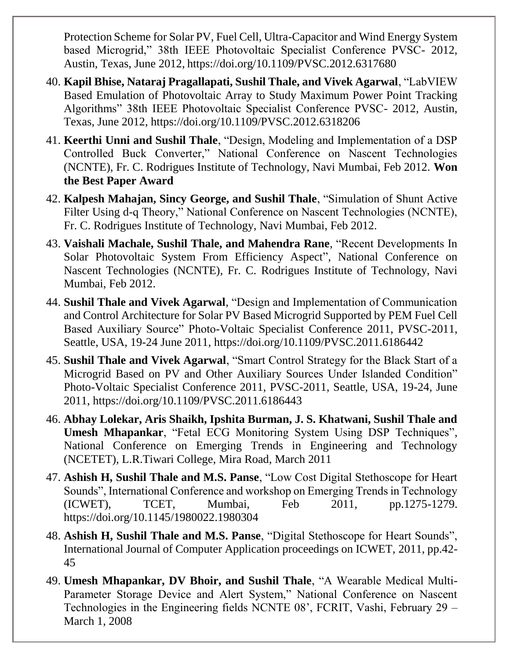Protection Scheme for Solar PV, Fuel Cell, Ultra-Capacitor and Wind Energy System based Microgrid," 38th IEEE Photovoltaic Specialist Conference PVSC- 2012, Austin, Texas, June 2012, https://doi.org/10.1109/PVSC.2012.6317680

- 40. **Kapil Bhise, Nataraj Pragallapati, Sushil Thale, and Vivek Agarwal**, "LabVIEW Based Emulation of Photovoltaic Array to Study Maximum Power Point Tracking Algorithms" 38th IEEE Photovoltaic Specialist Conference PVSC- 2012, Austin, Texas, June 2012, https://doi.org/10.1109/PVSC.2012.6318206
- 41. **Keerthi Unni and Sushil Thale**, "Design, Modeling and Implementation of a DSP Controlled Buck Converter," National Conference on Nascent Technologies (NCNTE), Fr. C. Rodrigues Institute of Technology, Navi Mumbai, Feb 2012. **Won the Best Paper Award**
- 42. **Kalpesh Mahajan, Sincy George, and Sushil Thale**, "Simulation of Shunt Active Filter Using d-q Theory," National Conference on Nascent Technologies (NCNTE), Fr. C. Rodrigues Institute of Technology, Navi Mumbai, Feb 2012.
- 43. **Vaishali Machale, Sushil Thale, and Mahendra Rane**, "Recent Developments In Solar Photovoltaic System From Efficiency Aspect", National Conference on Nascent Technologies (NCNTE), Fr. C. Rodrigues Institute of Technology, Navi Mumbai, Feb 2012.
- 44. **Sushil Thale and Vivek Agarwal**, "Design and Implementation of Communication and Control Architecture for Solar PV Based Microgrid Supported by PEM Fuel Cell Based Auxiliary Source" Photo-Voltaic Specialist Conference 2011, PVSC-2011, Seattle, USA, 19-24 June 2011, https://doi.org/10.1109/PVSC.2011.6186442
- 45. **Sushil Thale and Vivek Agarwal**, "Smart Control Strategy for the Black Start of a Microgrid Based on PV and Other Auxiliary Sources Under Islanded Condition" Photo-Voltaic Specialist Conference 2011, PVSC-2011, Seattle, USA, 19-24, June 2011, https://doi.org/10.1109/PVSC.2011.6186443
- 46. **Abhay Lolekar, Aris Shaikh, Ipshita Burman, J. S. Khatwani, Sushil Thale and Umesh Mhapankar**, "Fetal ECG Monitoring System Using DSP Techniques", National Conference on Emerging Trends in Engineering and Technology (NCETET), L.R.Tiwari College, Mira Road, March 2011
- 47. **Ashish H, Sushil Thale and M.S. Panse**, "Low Cost Digital Stethoscope for Heart Sounds", International Conference and workshop on Emerging Trends in Technology (ICWET), TCET, Mumbai, Feb 2011, pp.1275-1279. https://doi.org/10.1145/1980022.1980304
- 48. **Ashish H, Sushil Thale and M.S. Panse**, "Digital Stethoscope for Heart Sounds", International Journal of Computer Application proceedings on ICWET, 2011, pp.42- 45
- 49. **Umesh Mhapankar, DV Bhoir, and Sushil Thale**, "A Wearable Medical Multi-Parameter Storage Device and Alert System," National Conference on Nascent Technologies in the Engineering fields NCNTE 08', FCRIT, Vashi, February 29 – March 1, 2008